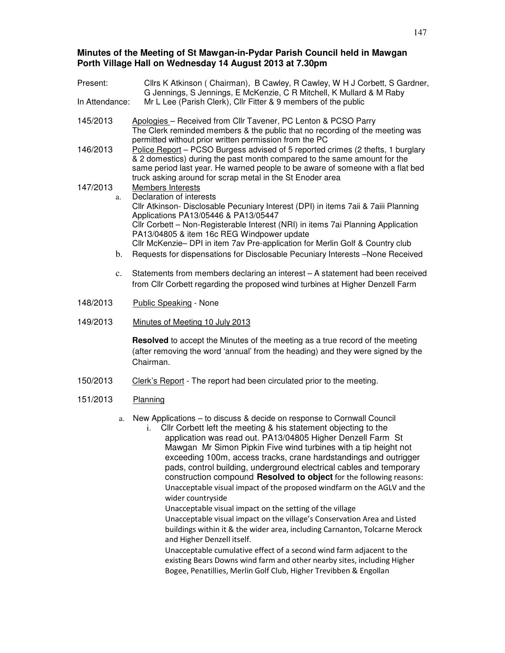## **Minutes of the Meeting of St Mawgan-in-Pydar Parish Council held in Mawgan Porth Village Hall on Wednesday 14 August 2013 at 7.30pm**

| Present:       |                | Cllrs K Atkinson (Chairman), B Cawley, R Cawley, W H J Corbett, S Gardner,<br>G Jennings, S Jennings, E McKenzie, C R Mitchell, K Mullard & M Raby                                                                                                                                                                                                                                                                                                                                                                                                                                                 |  |  |
|----------------|----------------|----------------------------------------------------------------------------------------------------------------------------------------------------------------------------------------------------------------------------------------------------------------------------------------------------------------------------------------------------------------------------------------------------------------------------------------------------------------------------------------------------------------------------------------------------------------------------------------------------|--|--|
| In Attendance: |                | Mr L Lee (Parish Clerk), Cllr Fitter & 9 members of the public                                                                                                                                                                                                                                                                                                                                                                                                                                                                                                                                     |  |  |
| 145/2013       |                | Apologies - Received from Cllr Tavener, PC Lenton & PCSO Parry<br>The Clerk reminded members & the public that no recording of the meeting was<br>permitted without prior written permission from the PC                                                                                                                                                                                                                                                                                                                                                                                           |  |  |
| 146/2013       |                | Police Report - PCSO Burgess advised of 5 reported crimes (2 thefts, 1 burglary<br>& 2 domestics) during the past month compared to the same amount for the<br>same period last year. He warned people to be aware of someone with a flat bed<br>truck asking around for scrap metal in the St Enoder area                                                                                                                                                                                                                                                                                         |  |  |
| 147/2013       |                | Members Interests                                                                                                                                                                                                                                                                                                                                                                                                                                                                                                                                                                                  |  |  |
|                | a.             | Declaration of interests<br>Cllr Atkinson- Disclosable Pecuniary Interest (DPI) in items 7aii & 7aiii Planning<br>Applications PA13/05446 & PA13/05447                                                                                                                                                                                                                                                                                                                                                                                                                                             |  |  |
|                |                | Cllr Corbett - Non-Registerable Interest (NRI) in items 7ai Planning Application<br>PA13/04805 & item 16c REG Windpower update                                                                                                                                                                                                                                                                                                                                                                                                                                                                     |  |  |
|                | b.             | Cllr McKenzie- DPI in item 7av Pre-application for Merlin Golf & Country club<br>Requests for dispensations for Disclosable Pecuniary Interests -None Received                                                                                                                                                                                                                                                                                                                                                                                                                                     |  |  |
|                | $\mathbf{c}$ . | Statements from members declaring an interest - A statement had been received<br>from Cllr Corbett regarding the proposed wind turbines at Higher Denzell Farm                                                                                                                                                                                                                                                                                                                                                                                                                                     |  |  |
| 148/2013       |                | <b>Public Speaking - None</b>                                                                                                                                                                                                                                                                                                                                                                                                                                                                                                                                                                      |  |  |
| 149/2013       |                | Minutes of Meeting 10 July 2013                                                                                                                                                                                                                                                                                                                                                                                                                                                                                                                                                                    |  |  |
|                |                | Resolved to accept the Minutes of the meeting as a true record of the meeting<br>(after removing the word 'annual' from the heading) and they were signed by the<br>Chairman.                                                                                                                                                                                                                                                                                                                                                                                                                      |  |  |
| 150/2013       |                | Clerk's Report - The report had been circulated prior to the meeting.                                                                                                                                                                                                                                                                                                                                                                                                                                                                                                                              |  |  |
| 151/2013       |                | Planning                                                                                                                                                                                                                                                                                                                                                                                                                                                                                                                                                                                           |  |  |
|                | a.             | New Applications - to discuss & decide on response to Cornwall Council<br>Cllr Corbett left the meeting & his statement objecting to the<br>i.<br>application was read out. PA13/04805 Higher Denzell Farm St<br>Mawgan Mr Simon Pipkin Five wind turbines with a tip height not<br>exceeding 100m, access tracks, crane hardstandings and outrigger<br>pads, control building, underground electrical cables and temporary<br>construction compound Resolved to object for the following reasons:<br>Unacceptable visual impact of the proposed windfarm on the AGLV and the<br>wider countryside |  |  |

Unacceptable visual impact on the setting of the village Unacceptable visual impact on the village's Conservation Area and Listed buildings within it & the wider area, including Carnanton, Tolcarne Merock and Higher Denzell itself.

Unacceptable cumulative effect of a second wind farm adjacent to the existing Bears Downs wind farm and other nearby sites, including Higher Bogee, Penatillies, Merlin Golf Club, Higher Trevibben & Engollan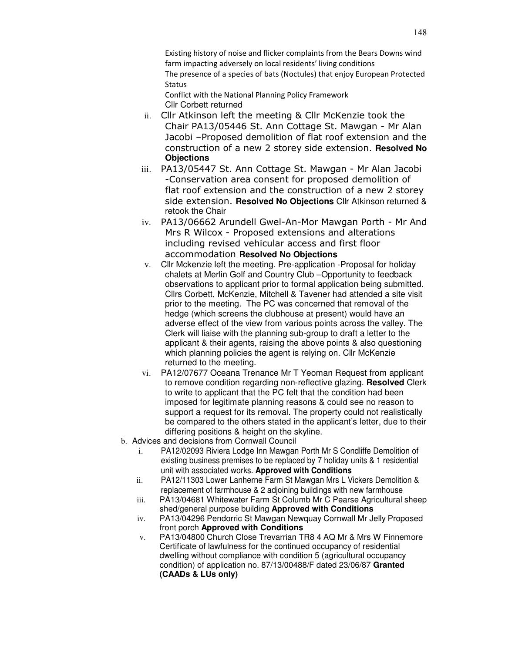Existing history of noise and flicker complaints from the Bears Downs wind farm impacting adversely on local residents' living conditions The presence of a species of bats (Noctules) that enjoy European Protected **Status** 

Conflict with the National Planning Policy Framework Cllr Corbett returned

- ii. Cllr Atkinson left the meeting & Cllr McKenzie took the Chair PA13/05446 St. Ann Cottage St. Mawgan - Mr Alan Jacobi –Proposed demolition of flat roof extension and the construction of a new 2 storey side extension. **Resolved No Objections**
- iii. PA13/05447 St. Ann Cottage St. Mawgan Mr Alan Jacobi -Conservation area consent for proposed demolition of flat roof extension and the construction of a new 2 storey side extension. **Resolved No Objections** Cllr Atkinson returned & retook the Chair
- iv. PA13/06662 Arundell Gwel-An-Mor Mawgan Porth Mr And Mrs R Wilcox - Proposed extensions and alterations including revised vehicular access and first floor accommodation **Resolved No Objections**
- v. Cllr Mckenzie left the meeting. Pre-application -Proposal for holiday chalets at Merlin Golf and Country Club –Opportunity to feedback observations to applicant prior to formal application being submitted. Cllrs Corbett, McKenzie, Mitchell & Tavener had attended a site visit prior to the meeting. The PC was concerned that removal of the hedge (which screens the clubhouse at present) would have an adverse effect of the view from various points across the valley. The Clerk will liaise with the planning sub-group to draft a letter to the applicant & their agents, raising the above points & also questioning which planning policies the agent is relying on. Cllr McKenzie returned to the meeting.
- vi. PA12/07677 Oceana Trenance Mr T Yeoman Request from applicant to remove condition regarding non-reflective glazing. **Resolved** Clerk to write to applicant that the PC felt that the condition had been imposed for legitimate planning reasons & could see no reason to support a request for its removal. The property could not realistically be compared to the others stated in the applicant's letter, due to their differing positions & height on the skyline.
- b. Advices and decisions from Cornwall Council
	- i. PA12/02093 Riviera Lodge Inn Mawgan Porth Mr S Condliffe Demolition of existing business premises to be replaced by 7 holiday units & 1 residential unit with associated works. **Approved with Conditions**
	- ii. PA12/11303 Lower Lanherne Farm St Mawgan Mrs L Vickers Demolition & replacement of farmhouse & 2 adjoining buildings with new farmhouse
	- iii. PA13/04681 Whitewater Farm St Columb Mr C Pearse Agricultural sheep shed/general purpose building **Approved with Conditions**
	- iv. PA13/04296 Pendorric St Mawgan Newquay Cornwall Mr Jelly Proposed front porch **Approved with Conditions**
	- v. PA13/04800 Church Close Trevarrian TR8 4 AQ Mr & Mrs W Finnemore Certificate of lawfulness for the continued occupancy of residential dwelling without compliance with condition 5 (agricultural occupancy condition) of application no. 87/13/00488/F dated 23/06/87 **Granted (CAADs & LUs only)**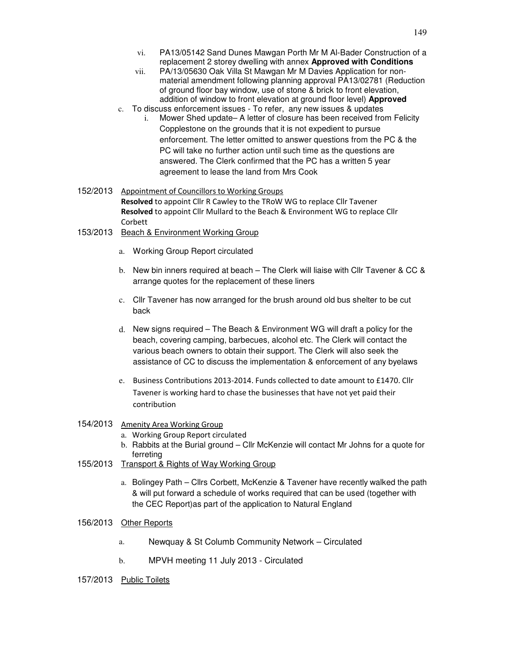- vi. PA13/05142 Sand Dunes Mawgan Porth Mr M Al-Bader Construction of a replacement 2 storey dwelling with annex **Approved with Conditions**
- vii. PA/13/05630 Oak Villa St Mawgan Mr M Davies Application for nonmaterial amendment following planning approval PA13/02781 (Reduction of ground floor bay window, use of stone & brick to front elevation, addition of window to front elevation at ground floor level) **Approved**
- c. To discuss enforcement issues To refer, any new issues & updates
	- i. Mower Shed update– A letter of closure has been received from Felicity Copplestone on the grounds that it is not expedient to pursue enforcement. The letter omitted to answer questions from the PC & the PC will take no further action until such time as the questions are answered. The Clerk confirmed that the PC has a written 5 year agreement to lease the land from Mrs Cook
- 152/2013 Appointment of Councillors to Working Groups Resolved to appoint Cllr R Cawley to the TRoW WG to replace Cllr Tavener Resolved to appoint Cllr Mullard to the Beach & Environment WG to replace Cllr Corbett
- 153/2013 Beach & Environment Working Group
	- a. Working Group Report circulated
	- b. New bin inners required at beach The Clerk will liaise with Cllr Tavener & CC & arrange quotes for the replacement of these liners
	- c. Cllr Tavener has now arranged for the brush around old bus shelter to be cut back
	- d. New signs required The Beach & Environment WG will draft a policy for the beach, covering camping, barbecues, alcohol etc. The Clerk will contact the various beach owners to obtain their support. The Clerk will also seek the assistance of CC to discuss the implementation & enforcement of any byelaws
	- e. Business Contributions 2013-2014. Funds collected to date amount to £1470. Cllr Tavener is working hard to chase the businesses that have not yet paid their contribution

## 154/2013 Amenity Area Working Group

- a. Working Group Report circulated
- b. Rabbits at the Burial ground Cllr McKenzie will contact Mr Johns for a quote for ferreting
- 155/2013 Transport & Rights of Way Working Group
	- a. Bolingey Path Cllrs Corbett, McKenzie & Tavener have recently walked the path & will put forward a schedule of works required that can be used (together with the CEC Report)as part of the application to Natural England

## 156/2013 Other Reports

- a. Newquay & St Columb Community Network Circulated
- b. MPVH meeting 11 July 2013 Circulated
- 157/2013 Public Toilets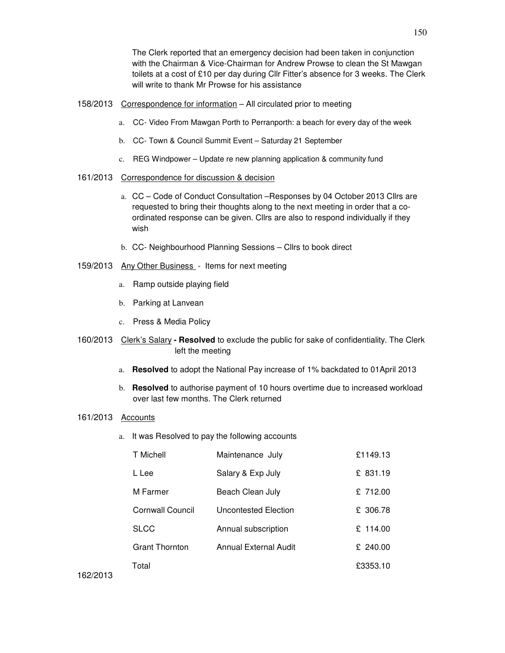The Clerk reported that an emergency decision had been taken in conjunction with the Chairman & Vice-Chairman for Andrew Prowse to clean the St Mawgan toilets at a cost of £10 per day during Cllr Fitter's absence for 3 weeks. The Clerk will write to thank Mr Prowse for his assistance

- 158/2013 Correspondence for information All circulated prior to meeting
	- a. CC- Video From Mawgan Porth to Perranporth: a beach for every day of the week
	- b. CC- Town & Council Summit Event Saturday 21 September
	- c. REG Windpower Update re new planning application & community fund
- 161/2013 Correspondence for discussion & decision
	- a. CC Code of Conduct Consultation –Responses by 04 October 2013 Cllrs are requested to bring their thoughts along to the next meeting in order that a coordinated response can be given. Cllrs are also to respond individually if they wish
	- b. CC- Neighbourhood Planning Sessions Cllrs to book direct
- 159/2013 Any Other Business Items for next meeting
	- a. Ramp outside playing field
	- b. Parking at Lanvean
	- c. Press & Media Policy
- 160/2013 Clerk's Salary **Resolved** to exclude the public for sake of confidentiality. The Clerk left the meeting
	- a. **Resolved** to adopt the National Pay increase of 1% backdated to 01April 2013
	- b. **Resolved** to authorise payment of 10 hours overtime due to increased workload over last few months. The Clerk returned

## 161/2013 Accounts

a. It was Resolved to pay the following accounts

| T Michell               | Maintenance July      | £1149.13 |
|-------------------------|-----------------------|----------|
| L Lee                   | Salary & Exp July     | £ 831.19 |
| M Farmer                | Beach Clean July      | £ 712.00 |
| <b>Cornwall Council</b> | Uncontested Election  | £ 306.78 |
| <b>SLCC</b>             | Annual subscription   | £ 114.00 |
| <b>Grant Thornton</b>   | Annual External Audit | £ 240.00 |
| Total                   |                       | £3353.10 |